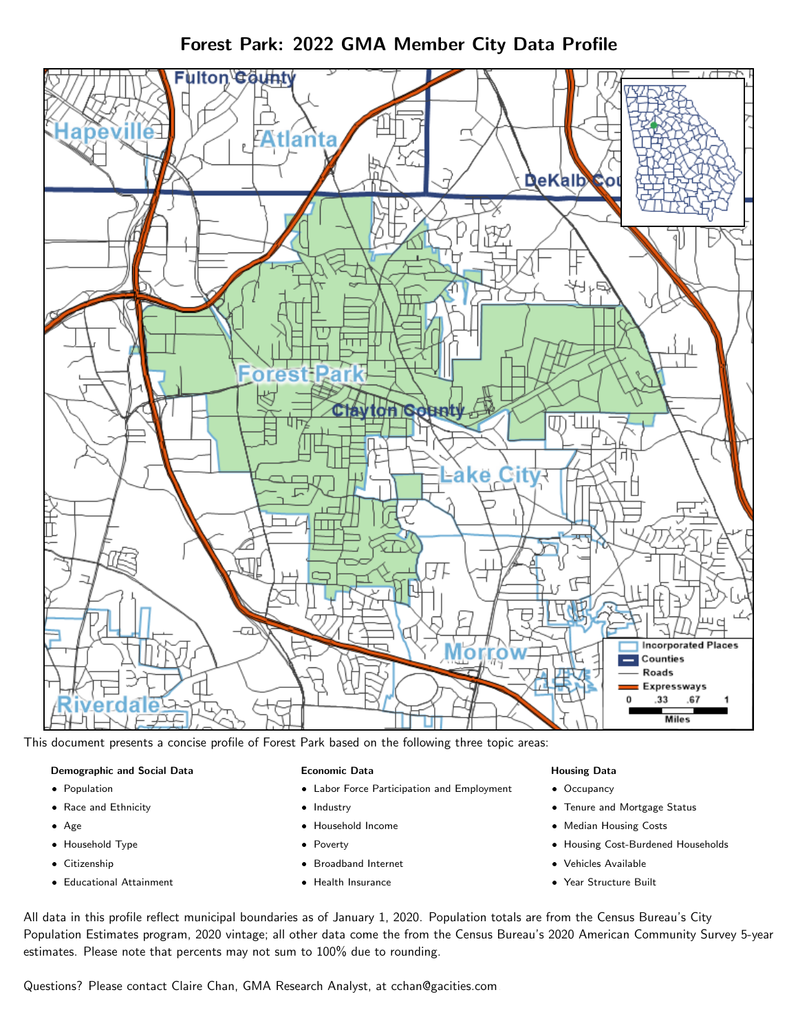



This document presents a concise profile of Forest Park based on the following three topic areas:

#### Demographic and Social Data

- **•** Population
- Race and Ethnicity
- Age
- Household Type
- **Citizenship**
- Educational Attainment

#### Economic Data

- Labor Force Participation and Employment
- Industry
- Household Income
- Poverty
- Broadband Internet
- Health Insurance

#### Housing Data

- Occupancy
- Tenure and Mortgage Status
- Median Housing Costs
- Housing Cost-Burdened Households
- Vehicles Available
- Year Structure Built

All data in this profile reflect municipal boundaries as of January 1, 2020. Population totals are from the Census Bureau's City Population Estimates program, 2020 vintage; all other data come the from the Census Bureau's 2020 American Community Survey 5-year estimates. Please note that percents may not sum to 100% due to rounding.

Questions? Please contact Claire Chan, GMA Research Analyst, at [cchan@gacities.com.](mailto:cchan@gacities.com)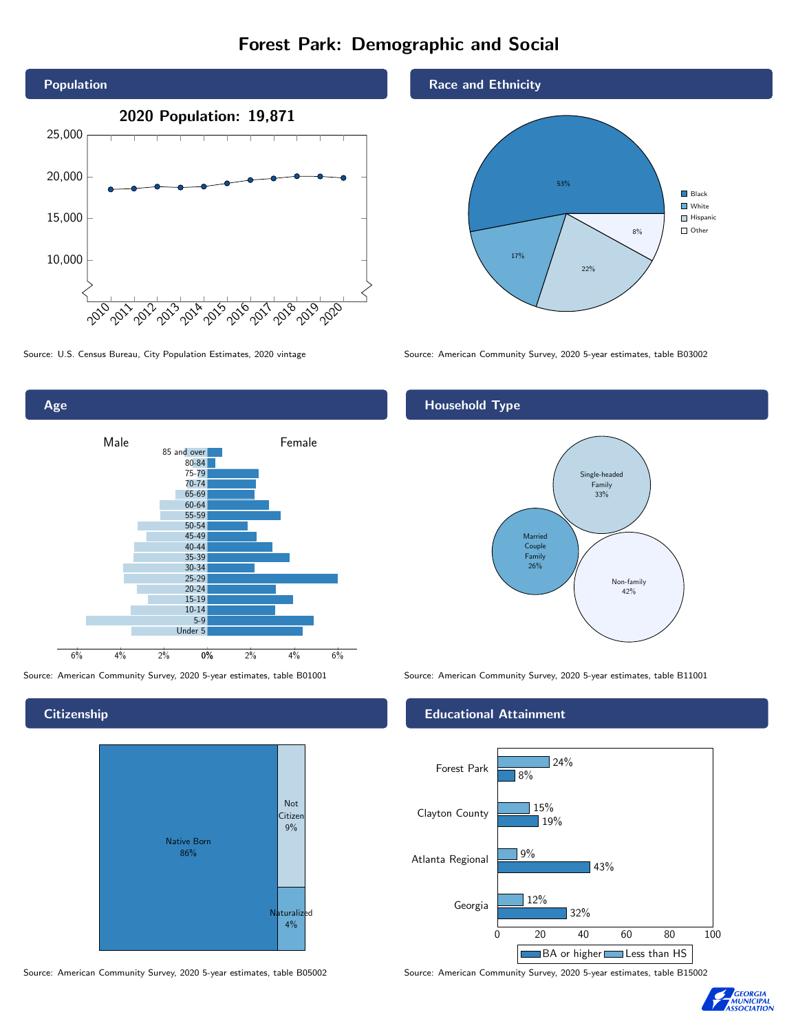# Forest Park: Demographic and Social





**Citizenship** 



Source: American Community Survey, 2020 5-year estimates, table B05002 Source: American Community Survey, 2020 5-year estimates, table B15002





Source: U.S. Census Bureau, City Population Estimates, 2020 vintage Source: American Community Survey, 2020 5-year estimates, table B03002

## Household Type



Source: American Community Survey, 2020 5-year estimates, table B01001 Source: American Community Survey, 2020 5-year estimates, table B11001

#### Educational Attainment



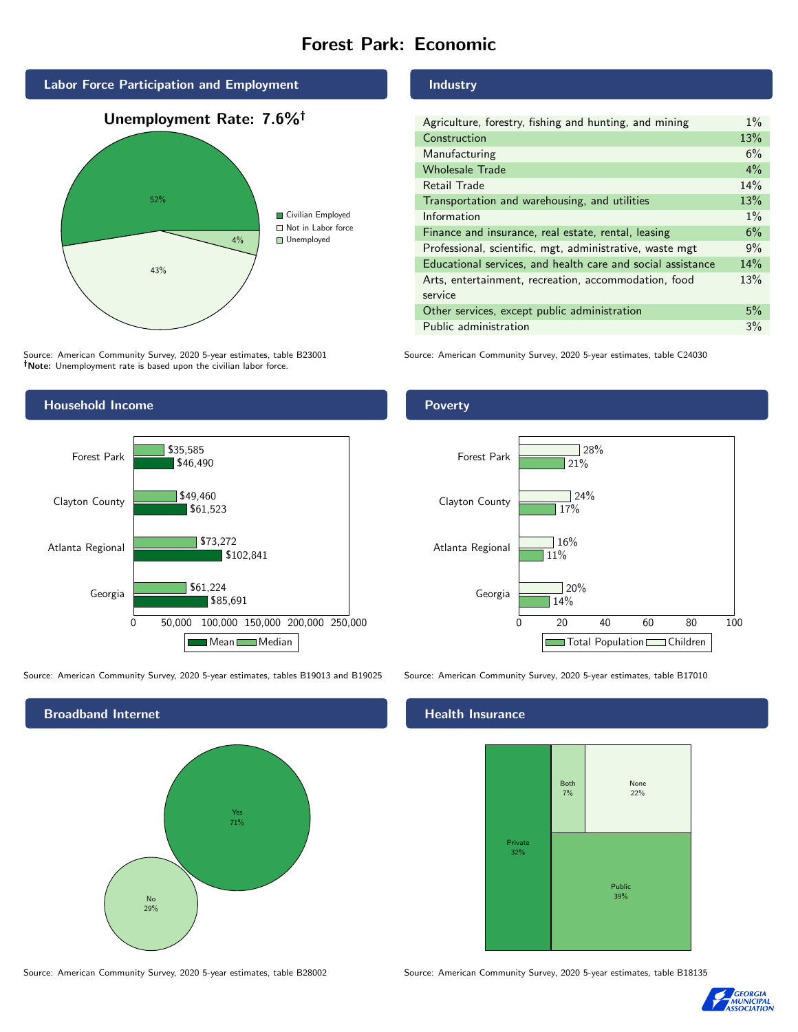# Forest Park: Economic



Source: American Community Survey, 2020 5-year estimates, table B23001 Note: Unemployment rate is based upon the civilian labor force.



Source: American Community Survey, 2020 5-year estimates, tables B19013 and B19025 Source: American Community Survey, 2020 5-year estimates, table B17010



Source: American Community Survey, 2020 5-year estimates, table B28002 Source: American Community Survey, 2020 5-year estimates, table B18135

Industry

| Agriculture, forestry, fishing and hunting, and mining      | $1\%$ |
|-------------------------------------------------------------|-------|
| Construction                                                | 13%   |
| Manufacturing                                               | 6%    |
| <b>Wholesale Trade</b>                                      | $4\%$ |
| Retail Trade                                                | 14%   |
| Transportation and warehousing, and utilities               | 13%   |
| Information                                                 | $1\%$ |
| Finance and insurance, real estate, rental, leasing         | 6%    |
| Professional, scientific, mgt, administrative, waste mgt    | 9%    |
| Educational services, and health care and social assistance | 14%   |
| Arts, entertainment, recreation, accommodation, food        | 13%   |
| service                                                     |       |
| Other services, except public administration                | 5%    |
| Public administration                                       | 3%    |

Source: American Community Survey, 2020 5-year estimates, table C24030

#### Poverty



## **Health Insurance**